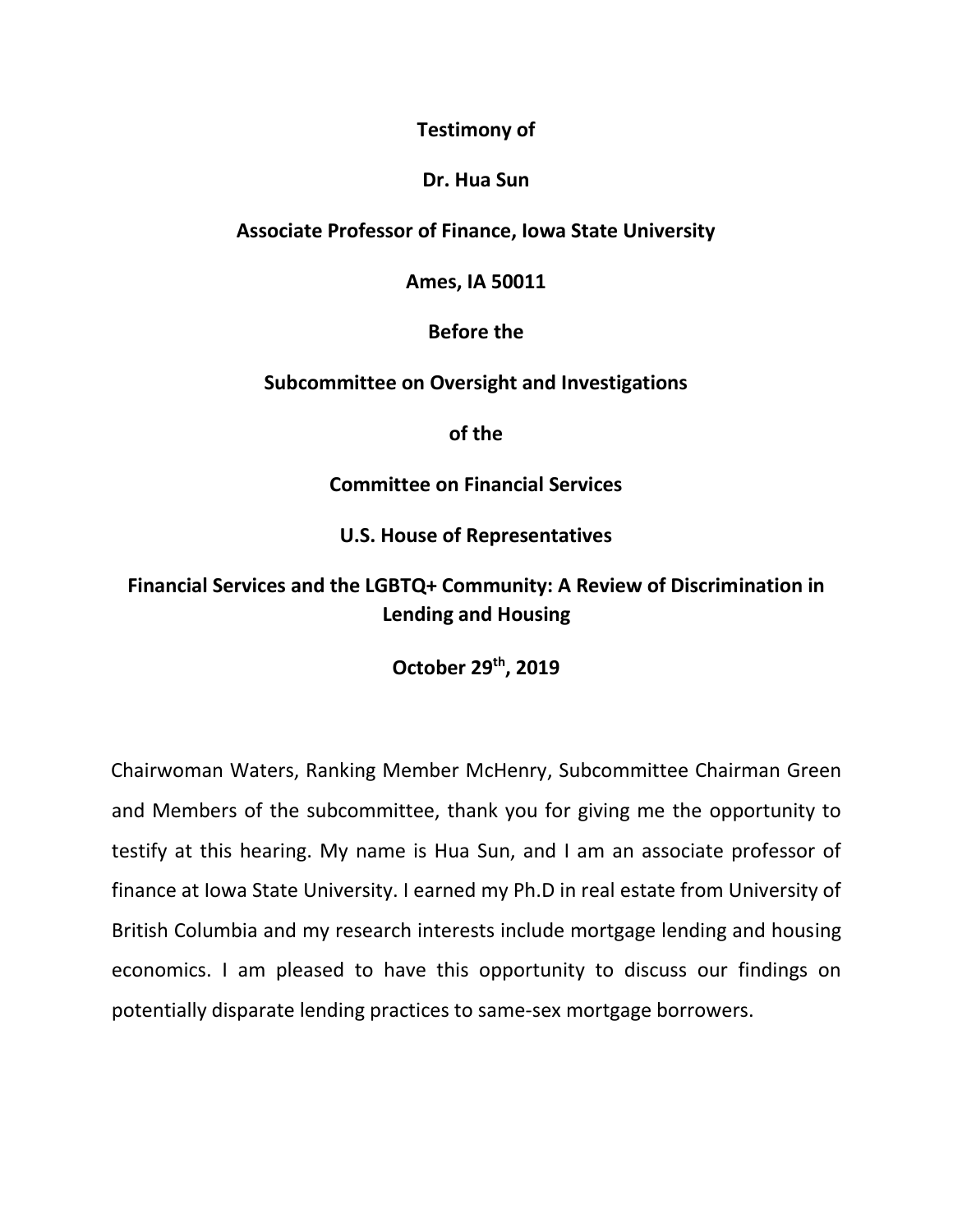**Testimony of** 

## **Dr. Hua Sun**

## **Associate Professor of Finance, Iowa State University**

**Ames, IA 50011** 

**Before the** 

## **Subcommittee on Oversight and Investigations**

**of the** 

**Committee on Financial Services** 

**U.S. House of Representatives** 

## **Financial Services and the LGBTQ+ Community: A Review of Discrimination in Lending and Housing**

**October 29th, 2019** 

Chairwoman Waters, Ranking Member McHenry, Subcommittee Chairman Green and Members of the subcommittee, thank you for giving me the opportunity to testify at this hearing. My name is Hua Sun, and I am an associate professor of finance at Iowa State University. I earned my Ph.D in real estate from University of British Columbia and my research interests include mortgage lending and housing economics. I am pleased to have this opportunity to discuss our findings on potentially disparate lending practices to same-sex mortgage borrowers.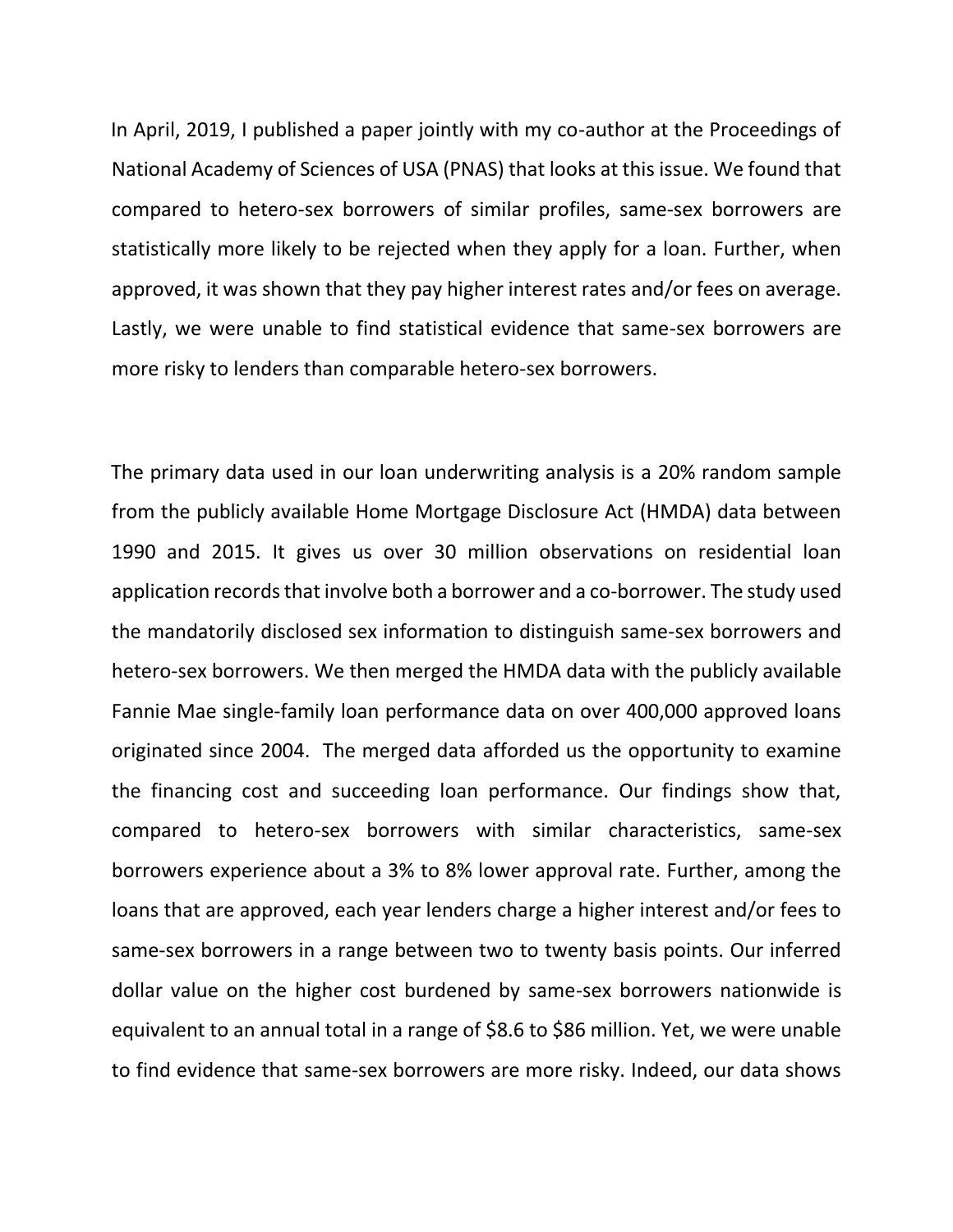In April, 2019, I published a paper jointly with my co-author at the Proceedings of National Academy of Sciences of USA (PNAS) that looks at this issue. We found that compared to hetero-sex borrowers of similar profiles, same-sex borrowers are statistically more likely to be rejected when they apply for a loan. Further, when approved, it was shown that they pay higher interest rates and/or fees on average. Lastly, we were unable to find statistical evidence that same-sex borrowers are more risky to lenders than comparable hetero-sex borrowers.

The primary data used in our loan underwriting analysis is a 20% random sample from the publicly available Home Mortgage Disclosure Act (HMDA) data between 1990 and 2015. It gives us over 30 million observations on residential loan application records that involve both a borrower and a co-borrower. The study used the mandatorily disclosed sex information to distinguish same-sex borrowers and hetero-sex borrowers. We then merged the HMDA data with the publicly available Fannie Mae single-family loan performance data on over 400,000 approved loans originated since 2004. The merged data afforded us the opportunity to examine the financing cost and succeeding loan performance. Our findings show that, compared to hetero-sex borrowers with similar characteristics, same-sex borrowers experience about a 3% to 8% lower approval rate. Further, among the loans that are approved, each year lenders charge a higher interest and/or fees to same-sex borrowers in a range between two to twenty basis points. Our inferred dollar value on the higher cost burdened by same-sex borrowers nationwide is equivalent to an annual total in a range of \$8.6 to \$86 million. Yet, we were unable to find evidence that same-sex borrowers are more risky. Indeed, our data shows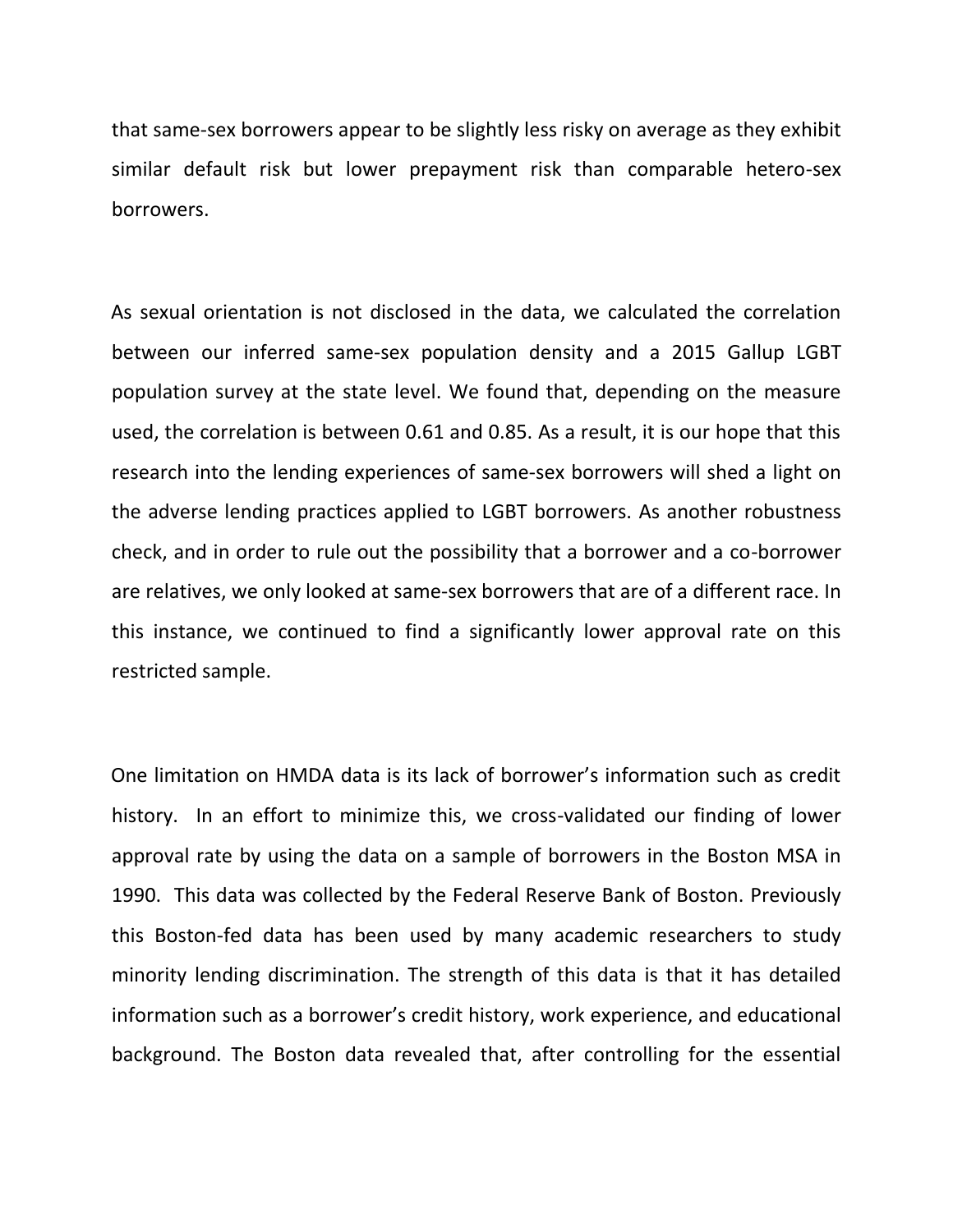that same-sex borrowers appear to be slightly less risky on average as they exhibit similar default risk but lower prepayment risk than comparable hetero-sex borrowers.

As sexual orientation is not disclosed in the data, we calculated the correlation between our inferred same-sex population density and a 2015 Gallup LGBT population survey at the state level. We found that, depending on the measure used, the correlation is between 0.61 and 0.85. As a result, it is our hope that this research into the lending experiences of same-sex borrowers will shed a light on the adverse lending practices applied to LGBT borrowers. As another robustness check, and in order to rule out the possibility that a borrower and a co-borrower are relatives, we only looked at same-sex borrowers that are of a different race. In this instance, we continued to find a significantly lower approval rate on this restricted sample.

One limitation on HMDA data is its lack of borrower's information such as credit history. In an effort to minimize this, we cross-validated our finding of lower approval rate by using the data on a sample of borrowers in the Boston MSA in 1990. This data was collected by the Federal Reserve Bank of Boston. Previously this Boston-fed data has been used by many academic researchers to study minority lending discrimination. The strength of this data is that it has detailed information such as a borrower's credit history, work experience, and educational background. The Boston data revealed that, after controlling for the essential